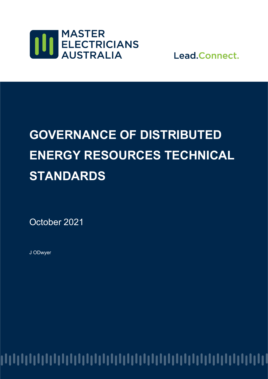

Lead.Connect.

# **GOVERNANCE OF DISTRIBUTED ENERGY RESOURCES TECHNICAL STANDARDS**

October 2021

J ODwyer

##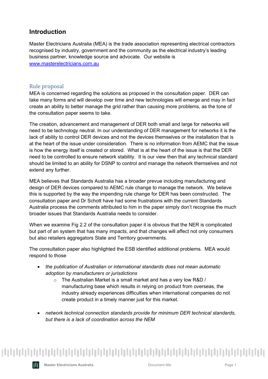### **Introduction**

Master Electricians Australia (MEA) is the trade association representing electrical contractors recognised by industry, government and the community as the electrical industry's leading business partner, knowledge source and advocate. Our website is [www.masterelectricians.com.au](http://www.masterelectricians.com.au/)

### Rule proposal

MEA is concerned regarding the solutions as proposed in the consultation paper. DER can take many forms and will develop over time and new technologies will emerge and may in fact create an ability to better manage the grid rather than causing more problems, as the tone of the consultation paper seems to take.

The creation, advancement and management of DER both small and large for networks will need to be technology neutral. In our understanding of DER management for networks it is the lack of ability to control DER devices and not the devices themselves or the installation that is at the heart of the issue under consideration. There is no information from AEMC that the issue is how the energy itself is created or stored. What is at the heart of the issue is that the DER need to be controlled to ensure network stability. It is our view then that any technical standard should be limited to an ability for DSNP to control and manage the network themselves and not extend any further.

MEA believes that Standards Australia has a broader prevue including manufacturing and design of DER devices compared to AEMC rule change to manage the network. We believe this is supported by the way the impending rule change for DER has been constructed. The consultation paper and Dr Schott have had some frustrations with the current Standards Australia process the comments attributed to him in the paper simply don't recognise the much broader issues that Standards Australia needs to consider.

When we examine Fig 2.2 of the consultation paper it is obvious that the NER is complicated but part of an system that has many impacts, and that changes will affect not only consumers but also retailers aggregators State and Territory governments.

The consultation paper also highlighted the ESB identified additional problems. MEA would respond to those

- *the publication of Australian or international standards does not mean automatic adoption by manufacturers or jurisdictions*
	- $\circ$  The Australian Market is a small market and has a very low R&D / manufacturing base which results in relying on product from overseas, the industry already experiences difficulties when international companies do not create product in a timely manner just for this market.
- *network technical connection standards provide for minimum DER technical standards, but there is a lack of coordination across the NEM*

### 

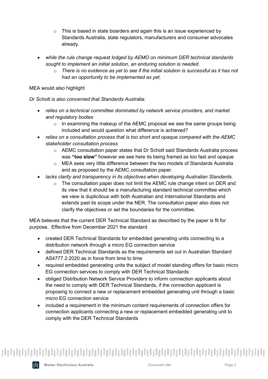- $\circ$  This is based in state boarders and again this is an issue experienced by Standards Australia, state regulators, manufacturers and consumer advocates already.
- *while the rule change request lodged by AEMO on minimum DER technical standards sought to implement an initial solution, an enduring solution is needed.*
	- o *There is no evidence as yet to see if the initial solution is successful as it has not had an opportunity to be implemented as yet.*

#### MEA would also highlight

*Dr Schott is also concerned that Standards Australia:*

- *relies on a technical committee dominated by network service providers, and market and regulatory bodies*
	- $\circ$  In examining the makeup of the AEMC proposal we see the same groups being included and would question what difference is achieved?
- *relies on a consultation process that is too short and opaque compared with the AEMC stakeholder consultation process*
	- o AEMC consultation paper states that Dr Schott said Standards Australia process was **"too slow"** however we see here its being framed as too fast and opaque
	- o MEA sees very little difference between the two models of Standards Australia and as proposed by the AEMC consultation paper.
- *lacks clarity and transparency in its objectives when developing Australian Standards.*
	- $\circ$  The consultation paper does not limit the AEMC rule change intent on DER and its view that it should be a manufacturing standard technical committee which we view is duplicitous with both Australian and International Standards and extends past its scope under the NER. The consultation paper also does not clarify the objectives or set the boundaries for the committee.

MEA believes that the current DER Technical Standard as described by the paper is fit for purpose. Effective from December 2021 the standard

- created DER Technical Standards for embedded generating units connecting to a distribution network through a micro EG connection service
- defined DER Technical Standards as the requirements set out in Australian Standard AS4777.2:2020 as in force from time to time
- required embedded generating units the subject of model standing offers for basic micro EG connection services to comply with DER Technical Standards
- obliged Distribution Network Service Providers to inform connection applicants about the need to comply with DER Technical Standards, if the connection applicant is proposing to connect a new or replacement embedded generating unit through a basic micro EG connection service
- included a requirement in the minimum content requirements of connection offers for connection applicants connecting a new or replacement embedded generating unit to comply with the DER Technical Standards

## 

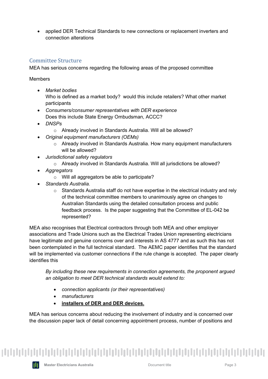• applied DER Technical Standards to new connections or replacement inverters and connection alterations

### Committee Structure

MEA has serious concerns regarding the following areas of the proposed committee

Members

- *Market bodies* Who is defined as a market body? would this include retailers? What other market participants
- *Consumers/consumer representatives with DER experience* Does this include State Energy Ombudsman, ACCC?
- *DNSPs*
	- o Already involved in Standards Australia. Will all be allowed?
- *Original equipment manufacturers (OEMs)*
	- $\circ$  Already involved in Standards Australia. How many equipment manufacturers will be allowed?
- *Jurisdictional safety regulators*
	- o Already involved in Standards Australia. Will all jurisdictions be allowed?
- *Aggregators*
	- o Will all aggregators be able to participate?
- *Standards Australia.*
	- o Standards Australia staff do not have expertise in the electrical industry and rely of the technical committee members to unanimously agree on changes to Australian Standards using the detailed consultation process and public feedback process. Is the paper suggesting that the Committee of EL-042 be represented?

MEA also recognises that Electrical contractors through both MEA and other employer associations and Trade Unions such as the Electrical Trades Union representing electricians have legitimate and genuine concerns over and interests in AS 4777 and as such this has not been contemplated in the full technical standard. The AEMC paper identifies that the standard will be implemented via customer connections if the rule change is accepted. The paper clearly identifies this

*By including these new requirements in connection agreements, the proponent argued an obligation to meet DER technical standards would extend to:*

- *connection applicants (or their representatives)*
- *manufacturers*
- **installers of DER and DER devices.**

MEA has serious concerns about reducing the involvement of industry and is concerned over the discussion paper lack of detail concerning appointment process, number of positions and